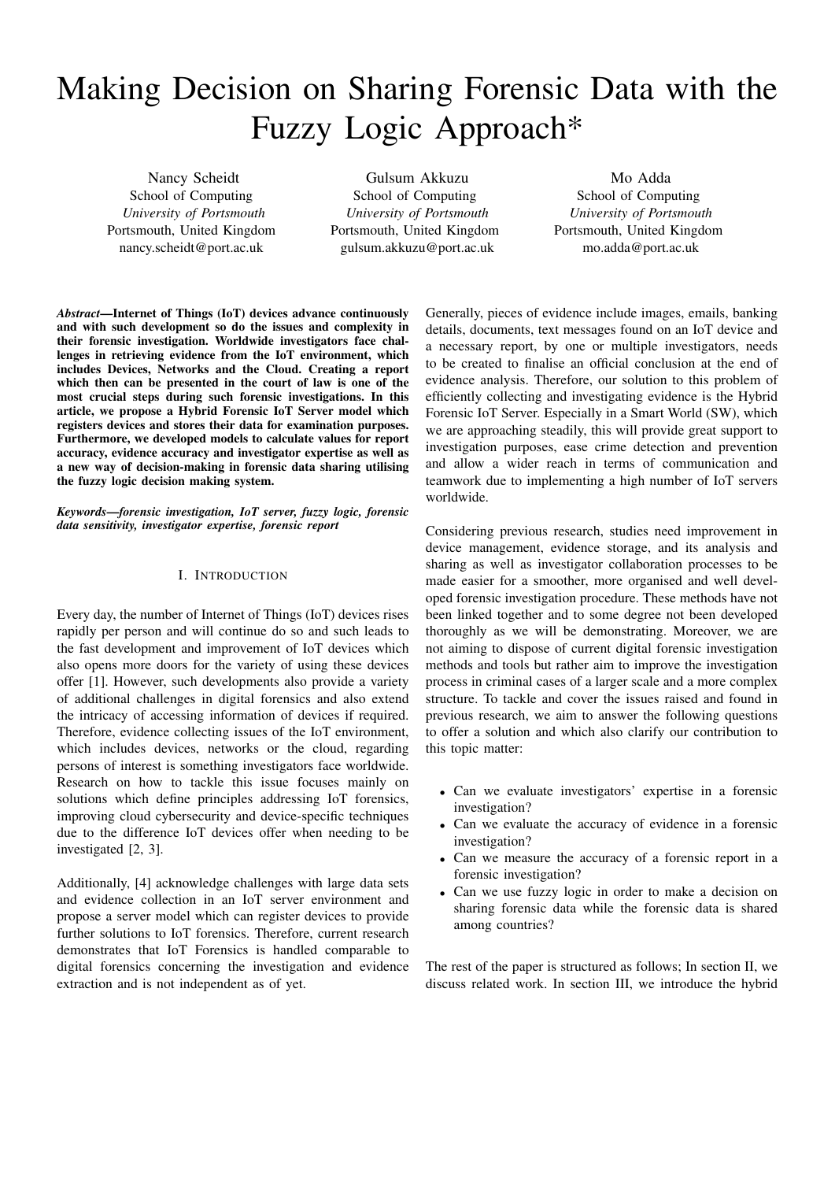# Making Decision on Sharing Forensic Data with the Fuzzy Logic Approach\*

Nancy Scheidt School of Computing *University of Portsmouth* Portsmouth, United Kingdom nancy.scheidt@port.ac.uk

Gulsum Akkuzu School of Computing *University of Portsmouth* Portsmouth, United Kingdom gulsum.akkuzu@port.ac.uk

Mo Adda School of Computing *University of Portsmouth* Portsmouth, United Kingdom mo.adda@port.ac.uk

*Abstract*—Internet of Things (IoT) devices advance continuously and with such development so do the issues and complexity in their forensic investigation. Worldwide investigators face challenges in retrieving evidence from the IoT environment, which includes Devices, Networks and the Cloud. Creating a report which then can be presented in the court of law is one of the most crucial steps during such forensic investigations. In this article, we propose a Hybrid Forensic IoT Server model which registers devices and stores their data for examination purposes. Furthermore, we developed models to calculate values for report accuracy, evidence accuracy and investigator expertise as well as a new way of decision-making in forensic data sharing utilising the fuzzy logic decision making system.

*Keywords*—*forensic investigation, IoT server, fuzzy logic, forensic data sensitivity, investigator expertise, forensic report*

# I. INTRODUCTION

Every day, the number of Internet of Things (IoT) devices rises rapidly per person and will continue do so and such leads to the fast development and improvement of IoT devices which also opens more doors for the variety of using these devices offer [1]. However, such developments also provide a variety of additional challenges in digital forensics and also extend the intricacy of accessing information of devices if required. Therefore, evidence collecting issues of the IoT environment, which includes devices, networks or the cloud, regarding persons of interest is something investigators face worldwide. Research on how to tackle this issue focuses mainly on solutions which define principles addressing IoT forensics, improving cloud cybersecurity and device-specific techniques due to the difference IoT devices offer when needing to be investigated [2, 3].

Additionally, [4] acknowledge challenges with large data sets and evidence collection in an IoT server environment and propose a server model which can register devices to provide further solutions to IoT forensics. Therefore, current research demonstrates that IoT Forensics is handled comparable to digital forensics concerning the investigation and evidence extraction and is not independent as of yet.

Generally, pieces of evidence include images, emails, banking details, documents, text messages found on an IoT device and a necessary report, by one or multiple investigators, needs to be created to finalise an official conclusion at the end of evidence analysis. Therefore, our solution to this problem of efficiently collecting and investigating evidence is the Hybrid Forensic IoT Server. Especially in a Smart World (SW), which we are approaching steadily, this will provide great support to investigation purposes, ease crime detection and prevention and allow a wider reach in terms of communication and teamwork due to implementing a high number of IoT servers worldwide.

Considering previous research, studies need improvement in device management, evidence storage, and its analysis and sharing as well as investigator collaboration processes to be made easier for a smoother, more organised and well developed forensic investigation procedure. These methods have not been linked together and to some degree not been developed thoroughly as we will be demonstrating. Moreover, we are not aiming to dispose of current digital forensic investigation methods and tools but rather aim to improve the investigation process in criminal cases of a larger scale and a more complex structure. To tackle and cover the issues raised and found in previous research, we aim to answer the following questions to offer a solution and which also clarify our contribution to this topic matter:

- Can we evaluate investigators' expertise in a forensic investigation?
- Can we evaluate the accuracy of evidence in a forensic investigation?
- Can we measure the accuracy of a forensic report in a forensic investigation?
- Can we use fuzzy logic in order to make a decision on sharing forensic data while the forensic data is shared among countries?

The rest of the paper is structured as follows; In section II, we discuss related work. In section III, we introduce the hybrid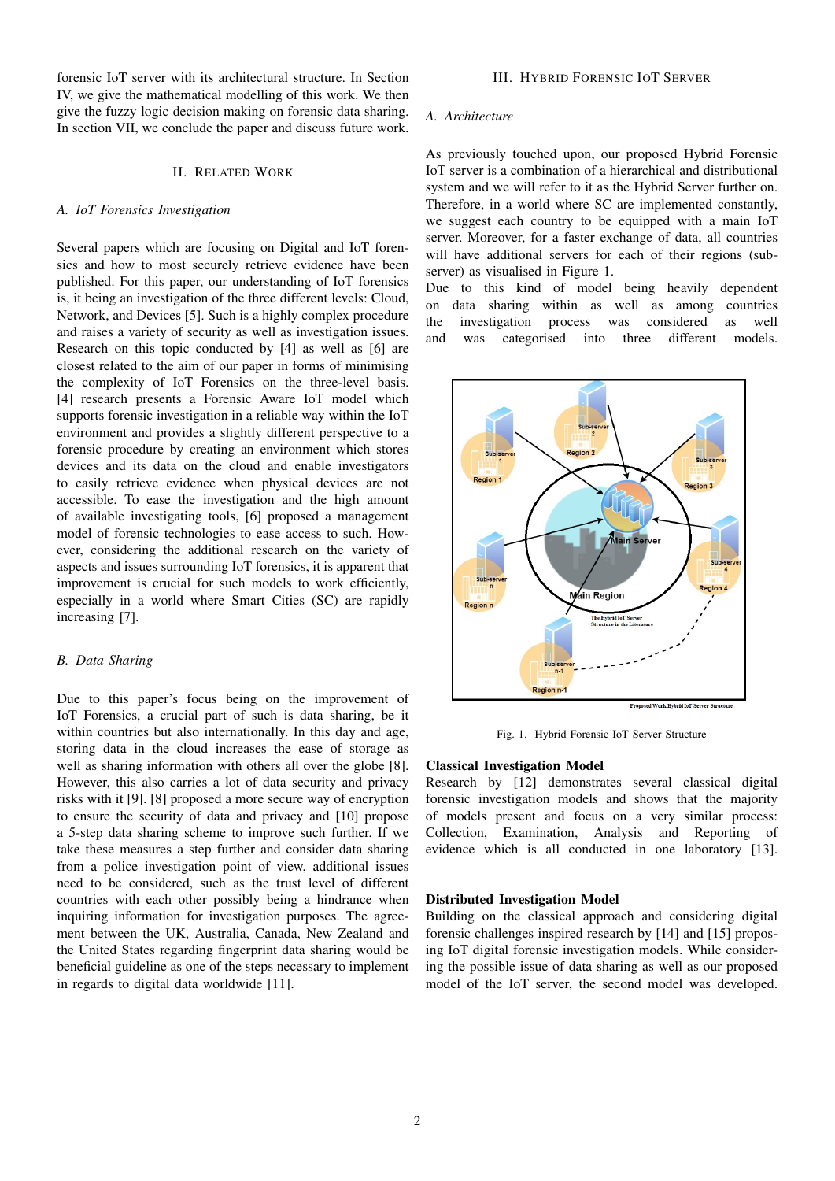forensic IoT server with its architectural structure. In Section IV, we give the mathematical modelling of this work. We then give the fuzzy logic decision making on forensic data sharing. In section VII, we conclude the paper and discuss future work.

#### II. RELATED WORK

### *A. IoT Forensics Investigation*

Several papers which are focusing on Digital and IoT forensics and how to most securely retrieve evidence have been published. For this paper, our understanding of IoT forensics is, it being an investigation of the three different levels: Cloud, Network, and Devices [5]. Such is a highly complex procedure and raises a variety of security as well as investigation issues. Research on this topic conducted by [4] as well as [6] are closest related to the aim of our paper in forms of minimising the complexity of IoT Forensics on the three-level basis. [4] research presents a Forensic Aware IoT model which supports forensic investigation in a reliable way within the IoT environment and provides a slightly different perspective to a forensic procedure by creating an environment which stores devices and its data on the cloud and enable investigators to easily retrieve evidence when physical devices are not accessible. To ease the investigation and the high amount of available investigating tools, [6] proposed a management model of forensic technologies to ease access to such. However, considering the additional research on the variety of aspects and issues surrounding IoT forensics, it is apparent that improvement is crucial for such models to work efficiently, especially in a world where Smart Cities (SC) are rapidly increasing [7].

#### *B. Data Sharing*

Due to this paper's focus being on the improvement of IoT Forensics, a crucial part of such is data sharing, be it within countries but also internationally. In this day and age, storing data in the cloud increases the ease of storage as well as sharing information with others all over the globe [8]. However, this also carries a lot of data security and privacy risks with it [9]. [8] proposed a more secure way of encryption to ensure the security of data and privacy and [10] propose a 5-step data sharing scheme to improve such further. If we take these measures a step further and consider data sharing from a police investigation point of view, additional issues need to be considered, such as the trust level of different countries with each other possibly being a hindrance when inquiring information for investigation purposes. The agreement between the UK, Australia, Canada, New Zealand and the United States regarding fingerprint data sharing would be beneficial guideline as one of the steps necessary to implement in regards to digital data worldwide [11].

#### *A. Architecture*

As previously touched upon, our proposed Hybrid Forensic IoT server is a combination of a hierarchical and distributional system and we will refer to it as the Hybrid Server further on. Therefore, in a world where SC are implemented constantly, we suggest each country to be equipped with a main IoT server. Moreover, for a faster exchange of data, all countries will have additional servers for each of their regions (subserver) as visualised in Figure 1.

Due to this kind of model being heavily dependent on data sharing within as well as among countries the investigation process was considered as well and was categorised into three different models.



Fig. 1. Hybrid Forensic IoT Server Structure

#### Classical Investigation Model

Research by [12] demonstrates several classical digital forensic investigation models and shows that the majority of models present and focus on a very similar process: Collection, Examination, Analysis and Reporting of evidence which is all conducted in one laboratory [13].

#### Distributed Investigation Model

Building on the classical approach and considering digital forensic challenges inspired research by [14] and [15] proposing IoT digital forensic investigation models. While considering the possible issue of data sharing as well as our proposed model of the IoT server, the second model was developed.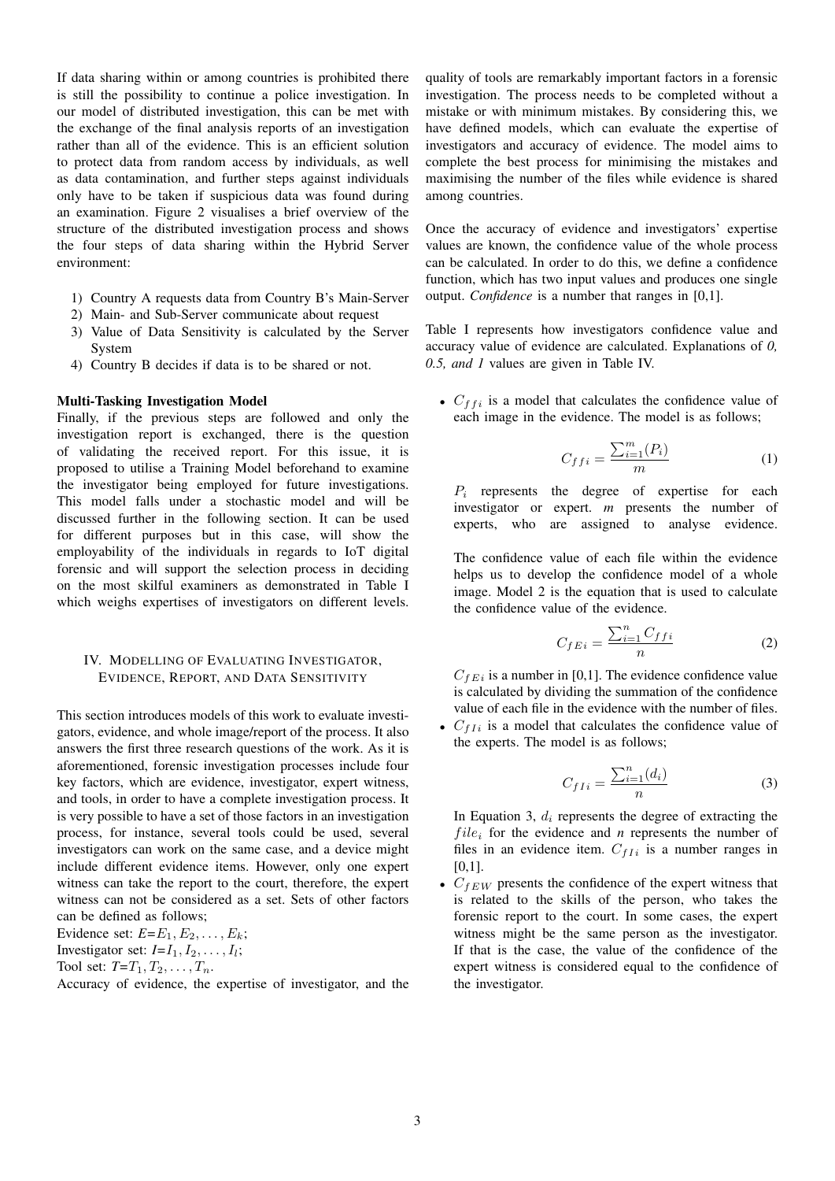If data sharing within or among countries is prohibited there is still the possibility to continue a police investigation. In our model of distributed investigation, this can be met with the exchange of the final analysis reports of an investigation rather than all of the evidence. This is an efficient solution to protect data from random access by individuals, as well as data contamination, and further steps against individuals only have to be taken if suspicious data was found during an examination. Figure 2 visualises a brief overview of the structure of the distributed investigation process and shows the four steps of data sharing within the Hybrid Server environment:

- 1) Country A requests data from Country B's Main-Server
- 2) Main- and Sub-Server communicate about request 3) Value of Data Sensitivity is calculated by the Server System
- 4) Country B decides if data is to be shared or not.

#### Multi-Tasking Investigation Model

Finally, if the previous steps are followed and only the investigation report is exchanged, there is the question of validating the received report. For this issue, it is proposed to utilise a Training Model beforehand to examine the investigator being employed for future investigations. This model falls under a stochastic model and will be discussed further in the following section. It can be used for different purposes but in this case, will show the employability of the individuals in regards to IoT digital forensic and will support the selection process in deciding on the most skilful examiners as demonstrated in Table I which weighs expertises of investigators on different levels.

# IV. MODELLING OF EVALUATING INVESTIGATOR, EVIDENCE, REPORT, AND DATA SENSITIVITY

This section introduces models of this work to evaluate investigators, evidence, and whole image/report of the process. It also answers the first three research questions of the work. As it is aforementioned, forensic investigation processes include four key factors, which are evidence, investigator, expert witness, and tools, in order to have a complete investigation process. It is very possible to have a set of those factors in an investigation process, for instance, several tools could be used, several investigators can work on the same case, and a device might include different evidence items. However, only one expert witness can take the report to the court, therefore, the expert witness can not be considered as a set. Sets of other factors can be defined as follows;

Evidence set:  $E=E_1, E_2, \ldots, E_k$ ; Investigator set:  $I = I_1, I_2, \ldots, I_l$ ; Tool set:  $T=T_1, T_2, \ldots, T_n$ .

Accuracy of evidence, the expertise of investigator, and the

quality of tools are remarkably important factors in a forensic investigation. The process needs to be completed without a mistake or with minimum mistakes. By considering this, we have defined models, which can evaluate the expertise of investigators and accuracy of evidence. The model aims to complete the best process for minimising the mistakes and maximising the number of the files while evidence is shared among countries.

Once the accuracy of evidence and investigators' expertise values are known, the confidence value of the whole process can be calculated. In order to do this, we define a confidence function, which has two input values and produces one single output. *Confidence* is a number that ranges in [0,1].

Table I represents how investigators confidence value and accuracy value of evidence are calculated. Explanations of *0, 0.5, and 1* values are given in Table IV.

•  $C_{ffi}$  is a model that calculates the confidence value of each image in the evidence. The model is as follows;

$$
C_{ffi} = \frac{\sum_{i=1}^{m} (P_i)}{m} \tag{1}
$$

 $P_i$  represents the degree of expertise for each investigator or expert. *m* presents the number of experts, who are assigned to analyse evidence.

The confidence value of each file within the evidence helps us to develop the confidence model of a whole image. Model 2 is the equation that is used to calculate the confidence value of the evidence.

$$
C_{fE i} = \frac{\sum_{i=1}^{n} C_{ffi}}{n} \tag{2}
$$

 $C_{fEi}$  is a number in [0,1]. The evidence confidence value is calculated by dividing the summation of the confidence value of each file in the evidence with the number of files.

•  $C_{fIi}$  is a model that calculates the confidence value of the experts. The model is as follows;

$$
C_{fIi} = \frac{\sum_{i=1}^{n} (d_i)}{n} \tag{3}
$$

In Equation 3,  $d_i$  represents the degree of extracting the  $file_i$  for the evidence and *n* represents the number of files in an evidence item.  $C_{f I i}$  is a number ranges in [0,1].

•  $C_{fEW}$  presents the confidence of the expert witness that is related to the skills of the person, who takes the forensic report to the court. In some cases, the expert witness might be the same person as the investigator. If that is the case, the value of the confidence of the expert witness is considered equal to the confidence of the investigator.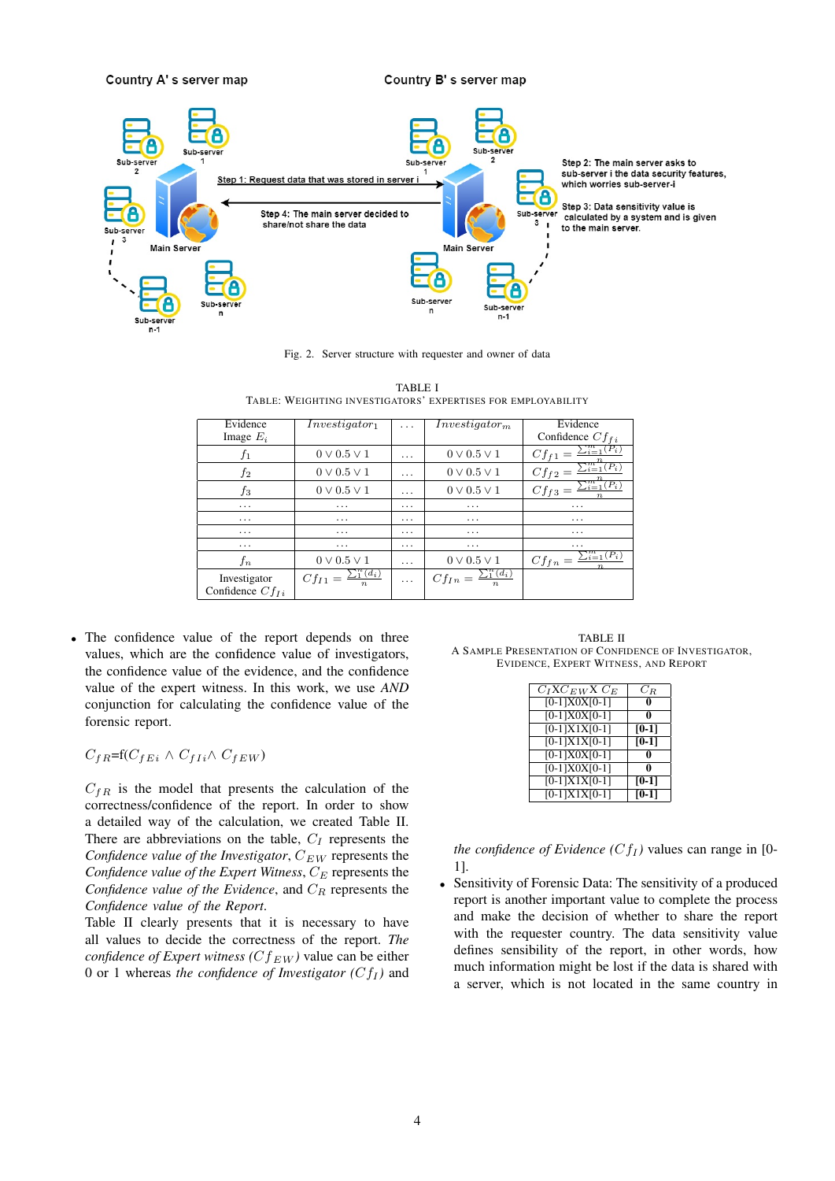

Fig. 2. Server structure with requester and owner of data

| Evidence             |                                    |                         |                                            | Evidence                                           |
|----------------------|------------------------------------|-------------------------|--------------------------------------------|----------------------------------------------------|
|                      | Investigator <sub>1</sub>          | .                       | Investiqator <sub>m</sub>                  |                                                    |
| Image $E_i$          |                                    |                         |                                            | Confidence $Cf_{fi}$                               |
| $f_1$                | $0 \vee 0.5 \vee 1$                | $\cdots$                | $0 \vee 0.5 \vee 1$                        | $\sum_{i=1}^{m} (P_i)$<br>$Cf_{f1} =$              |
| $f_2$                | $0 \vee 0.5 \vee 1$                | $\cdot$ $\cdot$ $\cdot$ | $0 \vee 0.5 \vee 1$                        | $\underline{C}f_f2=\overline{\Sigma_{i=1}^m(P_i)}$ |
| $f_3$                | $0 \vee 0.5 \vee 1$                | $\cdots$                | $0 \vee 0.5 \vee 1$                        | $\sum_{i=1}^{m} (P_i)$<br>$Cf_{f3} =$              |
| $\cdot$              | $\cdot$ $\cdot$ $\cdot$            | $\cdots$                | .                                          | $\cdot$                                            |
| $\cdots$             | $\cdots$                           | $\cdots$                | $\cdots$                                   | $\cdots$                                           |
| .                    | $\cdot$ $\cdot$ $\cdot$            | $\cdots$                | .                                          | $\cdots$                                           |
| $\cdots$             | $\cdots$                           | $\cdots$                | $\cdots$                                   | $\cdots$                                           |
| $_{fn}$              | $0 \vee 0.5 \vee 1$                | $\cdots$                | $0 \vee 0.5 \vee 1$                        | $C f_{fn} = \frac{\sum_{i=1}^{m} (P_i)}{n}$        |
| Investigator         | $\sum_{1}^{n}(d_i)$<br>$Cf_{I1} =$ | $\cdots$                | $Cf_{In} = \frac{\sum_{i=1}^{n} (d_i)}{n}$ |                                                    |
| Confidence $Cf_{Li}$ |                                    |                         |                                            |                                                    |

TABLE I TABLE: WEIGHTING INVESTIGATORS' EXPERTISES FOR EMPLOYABILITY

• The confidence value of the report depends on three values, which are the confidence value of investigators, the confidence value of the evidence, and the confidence value of the expert witness. In this work, we use *AND* conjunction for calculating the confidence value of the forensic report.

 $C_{f R} = f(C_{f E i} \wedge C_{f I i} \wedge C_{f E W})$ 

 $C_{fR}$  is the model that presents the calculation of the correctness/confidence of the report. In order to show a detailed way of the calculation, we created Table II. There are abbreviations on the table,  $C_I$  represents the *Confidence value of the Investigator,*  $C_{EW}$  represents the *Confidence value of the Expert Witness*,  $C_E$  represents the *Confidence value of the Evidence*, and  $C_R$  represents the *Confidence value of the Report*.

Table II clearly presents that it is necessary to have all values to decide the correctness of the report. *The confidence of Expert witness (* $Cf_{EW}$ *)* value can be either 0 or 1 whereas *the confidence of Investigator* ( $Cf_I$ ) and

TABLE II A SAMPLE PRESENTATION OF CONFIDENCE OF INVESTIGATOR, EVIDENCE, EXPERT WITNESS, AND REPORT

| $C_I X C_{EW} X C_E$ | $C_R$   |
|----------------------|---------|
| $[0-1]X0X[0-1]$      |         |
| $[0-1]X0X[0-1]$      |         |
| $[0-1]X1X[0-1]$      | $[0-1]$ |
| $[0-1]X1X[0-1]$      | $[0-1]$ |
| $[0-1]X0X[0-1]$      |         |
| $[0-1]X0X[0-1]$      |         |
| $[0-1]X1X[0-1]$      | $[0-1]$ |
| $[0-1]X1X[0-1]$      | $[0-1]$ |

*the confidence of Evidence* ( $Cf_I$ ) values can range in [0-1].

Sensitivity of Forensic Data: The sensitivity of a produced report is another important value to complete the process and make the decision of whether to share the report with the requester country. The data sensitivity value defines sensibility of the report, in other words, how much information might be lost if the data is shared with a server, which is not located in the same country in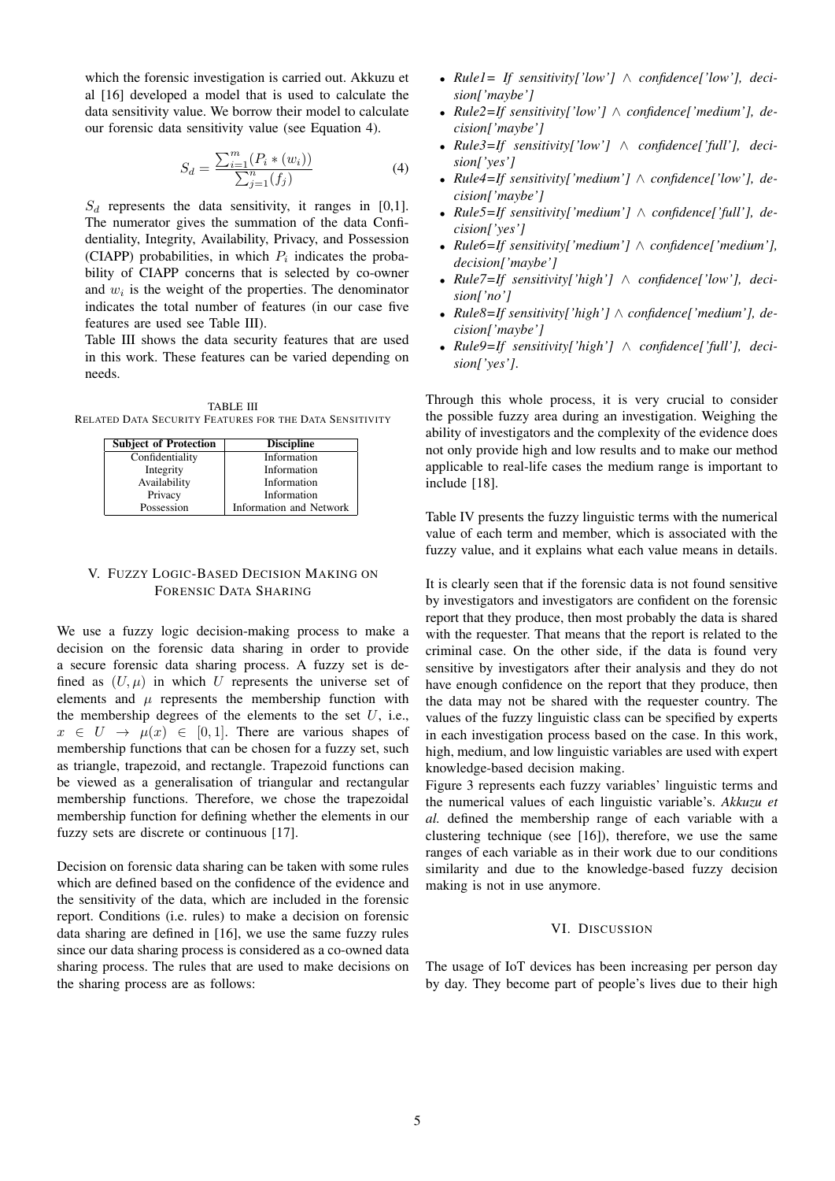which the forensic investigation is carried out. Akkuzu et al [16] developed a model that is used to calculate the data sensitivity value. We borrow their model to calculate our forensic data sensitivity value (see Equation 4).

$$
S_d = \frac{\sum_{i=1}^{m} (P_i * (w_i))}{\sum_{j=1}^{n} (f_j)}
$$
(4)

 $S_d$  represents the data sensitivity, it ranges in [0,1]. The numerator gives the summation of the data Confidentiality, Integrity, Availability, Privacy, and Possession (CIAPP) probabilities, in which  $P_i$  indicates the probability of CIAPP concerns that is selected by co-owner and  $w_i$  is the weight of the properties. The denominator indicates the total number of features (in our case five features are used see Table III).

Table III shows the data security features that are used in this work. These features can be varied depending on needs.

TABLE III RELATED DATA SECURITY FEATURES FOR THE DATA SENSITIVITY

| <b>Subject of Protection</b> | <b>Discipline</b>       |
|------------------------------|-------------------------|
| Confidentiality              | Information             |
| Integrity                    | Information             |
| Availability                 | Information             |
| Privacy                      | Information             |
| Possession                   | Information and Network |

# V. FUZZY LOGIC-BASED DECISION MAKING ON FORENSIC DATA SHARING

We use a fuzzy logic decision-making process to make a decision on the forensic data sharing in order to provide a secure forensic data sharing process. A fuzzy set is defined as  $(U, \mu)$  in which U represents the universe set of elements and  $\mu$  represents the membership function with the membership degrees of the elements to the set  $U$ , i.e.,  $x \in U \rightarrow \mu(x) \in [0, 1]$ . There are various shapes of membership functions that can be chosen for a fuzzy set, such as triangle, trapezoid, and rectangle. Trapezoid functions can be viewed as a generalisation of triangular and rectangular membership functions. Therefore, we chose the trapezoidal membership function for defining whether the elements in our fuzzy sets are discrete or continuous [17].

Decision on forensic data sharing can be taken with some rules which are defined based on the confidence of the evidence and the sensitivity of the data, which are included in the forensic report. Conditions (i.e. rules) to make a decision on forensic data sharing are defined in [16], we use the same fuzzy rules since our data sharing process is considered as a co-owned data sharing process. The rules that are used to make decisions on the sharing process are as follows:

- *Rule1= If sensitivity['low']* ∧ *confidence['low'], decision['maybe']*
- *Rule2=If sensitivity['low']* ∧ *confidence['medium'], decision['maybe']*
- *Rule3=If sensitivity['low']* ∧ *confidence['full'], decision['yes']*
- *Rule4=If sensitivity['medium']* ∧ *confidence['low'], decision['maybe']*
- *Rule5=If sensitivity['medium']* ∧ *confidence['full'], decision['yes']*
- *Rule6=If sensitivity['medium']* ∧ *confidence['medium'], decision['maybe']*
- *Rule7=If sensitivity['high']* ∧ *confidence['low'], decision['no']*
- *Rule8=If sensitivity['high']* ∧ *confidence['medium'], decision['maybe']*
- *Rule9=If sensitivity['high']* ∧ *confidence['full'], decision['yes']*.

Through this whole process, it is very crucial to consider the possible fuzzy area during an investigation. Weighing the ability of investigators and the complexity of the evidence does not only provide high and low results and to make our method applicable to real-life cases the medium range is important to include [18].

Table IV presents the fuzzy linguistic terms with the numerical value of each term and member, which is associated with the fuzzy value, and it explains what each value means in details.

It is clearly seen that if the forensic data is not found sensitive by investigators and investigators are confident on the forensic report that they produce, then most probably the data is shared with the requester. That means that the report is related to the criminal case. On the other side, if the data is found very sensitive by investigators after their analysis and they do not have enough confidence on the report that they produce, then the data may not be shared with the requester country. The values of the fuzzy linguistic class can be specified by experts in each investigation process based on the case. In this work, high, medium, and low linguistic variables are used with expert knowledge-based decision making.

Figure 3 represents each fuzzy variables' linguistic terms and the numerical values of each linguistic variable's. *Akkuzu et al.* defined the membership range of each variable with a clustering technique (see [16]), therefore, we use the same ranges of each variable as in their work due to our conditions similarity and due to the knowledge-based fuzzy decision making is not in use anymore.

# VI. DISCUSSION

The usage of IoT devices has been increasing per person day by day. They become part of people's lives due to their high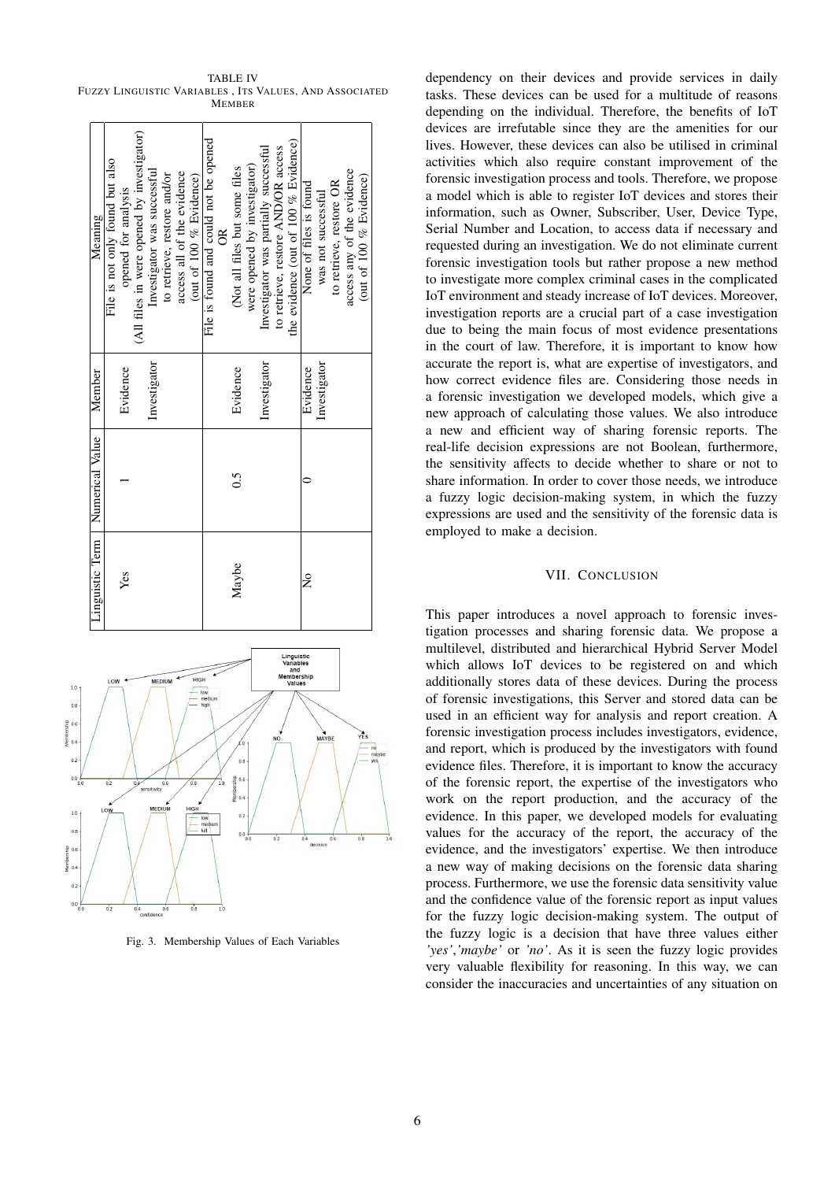TABLE IV FUZZY LINGUISTIC VARIABLES , ITS VALUES, AND ASSOCIATED **MEMBER** 

| Meaning         | File is not only found but also                                                          | opened for analysis | (All files in were opened by investigator) | Investigator was successful | to retrieve, restore and/or | access all of the evidence | (out of 100 % Evidence) | File is found and could not be opened | $\frac{8}{2}$ | (Not all files but some files | were opened by investigator) | Investigator was partially successful | to retrieve, restore AND/OR access | the evidence (out of 100 $%$ Evidence) | None of files is found | was not successful | to retrieve, restore OR | access any of the evidence | (out of 100 % Evidence) |
|-----------------|------------------------------------------------------------------------------------------|---------------------|--------------------------------------------|-----------------------------|-----------------------------|----------------------------|-------------------------|---------------------------------------|---------------|-------------------------------|------------------------------|---------------------------------------|------------------------------------|----------------------------------------|------------------------|--------------------|-------------------------|----------------------------|-------------------------|
| Member          |                                                                                          | Evidence            |                                            | Investigator                |                             |                            |                         |                                       |               | Evidence                      |                              | Investigator                          |                                    |                                        | Evidence               | Investigator       |                         |                            |                         |
| Numerical Value |                                                                                          |                     |                                            |                             |                             |                            |                         |                                       |               | $\widetilde{\circ}$           |                              |                                       |                                    |                                        |                        |                    |                         |                            |                         |
| Linguistic Term |                                                                                          | Yes                 |                                            |                             |                             |                            |                         |                                       |               | Maybe                         |                              |                                       |                                    |                                        | $\frac{1}{2}$          |                    |                         |                            |                         |
|                 | mbership<br>HIGH<br>MEDIUM<br>LOW<br>Values<br>low<br>medium<br>high<br>$\sum_{Y \in S}$ |                     |                                            |                             |                             |                            |                         |                                       |               |                               |                              |                                       |                                    |                                        |                        |                    |                         |                            |                         |



Fig. 3. Membership Values of Each Variables

dependency on their devices and provide services in daily tasks. These devices can be used for a multitude of reasons depending on the individual. Therefore, the benefits of IoT devices are irrefutable since they are the amenities for our lives. However, these devices can also be utilised in criminal activities which also require constant improvement of the forensic investigation process and tools. Therefore, we propose a model which is able to register IoT devices and stores their information, such as Owner, Subscriber, User, Device Type, Serial Number and Location, to access data if necessary and requested during an investigation. We do not eliminate current forensic investigation tools but rather propose a new method to investigate more complex criminal cases in the complicated IoT environment and steady increase of IoT devices. Moreover, investigation reports are a crucial part of a case investigation due to being the main focus of most evidence presentations in the court of law. Therefore, it is important to know how accurate the report is, what are expertise of investigators, and how correct evidence files are. Considering those needs in a forensic investigation we developed models, which give a new approach of calculating those values. We also introduce a new and efficient way of sharing forensic reports. The real-life decision expressions are not Boolean, furthermore, the sensitivity affects to decide whether to share or not to share information. In order to cover those needs, we introduce a fuzzy logic decision-making system, in which the fuzzy expressions are used and the sensitivity of the forensic data is employed to make a decision.

# VII. CONCLUSION

This paper introduces a novel approach to forensic investigation processes and sharing forensic data. We propose a multilevel, distributed and hierarchical Hybrid Server Model which allows IoT devices to be registered on and which additionally stores data of these devices. During the process of forensic investigations, this Server and stored data can be used in an efficient way for analysis and report creation. A forensic investigation process includes investigators, evidence, and report, which is produced by the investigators with found evidence files. Therefore, it is important to know the accuracy of the forensic report, the expertise of the investigators who work on the report production, and the accuracy of the evidence. In this paper, we developed models for evaluating values for the accuracy of the report, the accuracy of the evidence, and the investigators' expertise. We then introduce a new way of making decisions on the forensic data sharing process. Furthermore, we use the forensic data sensitivity value and the confidence value of the forensic report as input values for the fuzzy logic decision-making system. The output of the fuzzy logic is a decision that have three values either *'yes'*,*'maybe'* or *'no'*. As it is seen the fuzzy logic provides very valuable flexibility for reasoning. In this way, we can consider the inaccuracies and uncertainties of any situation on